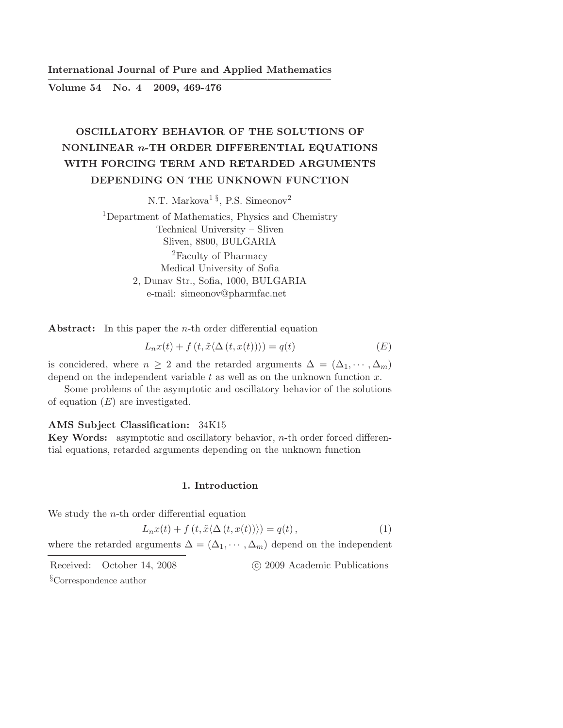International Journal of Pure and Applied Mathematics ————————————————————————–

Volume 54 No. 4 2009, 469-476

# OSCILLATORY BEHAVIOR OF THE SOLUTIONS OF NONLINEAR n-TH ORDER DIFFERENTIAL EQUATIONS WITH FORCING TERM AND RETARDED ARGUMENTS DEPENDING ON THE UNKNOWN FUNCTION

N.T. Markova<sup>1 §</sup>, P.S. Simeonov<sup>2</sup>

<sup>1</sup>Department of Mathematics, Physics and Chemistry Technical University – Sliven Sliven, 8800, BULGARIA <sup>2</sup>Faculty of Pharmacy Medical University of Sofia 2, Dunav Str., Sofia, 1000, BULGARIA e-mail: simeonov@pharmfac.net

Abstract: In this paper the *n*-th order differential equation

$$
L_n x(t) + f(t, \tilde{x} \langle \Delta(t, x(t)) \rangle) = q(t)
$$
 (E)

is concidered, where  $n \geq 2$  and the retarded arguments  $\Delta = (\Delta_1, \dots, \Delta_m)$ depend on the independent variable  $t$  as well as on the unknown function  $x$ .

Some problems of the asymptotic and oscillatory behavior of the solutions of equation  $(E)$  are investigated.

## AMS Subject Classification: 34K15

Key Words: asymptotic and oscillatory behavior, n-th order forced differential equations, retarded arguments depending on the unknown function

## 1. Introduction

We study the  $n$ -th order differential equation

$$
L_n x(t) + f(t, \tilde{x} \langle \Delta(t, x(t)) \rangle) = q(t), \qquad (1)
$$

where the retarded arguments  $\Delta = (\Delta_1, \cdots, \Delta_m)$  depend on the independent

Received: October 14, 2008 (c) 2009 Academic Publications

§Correspondence author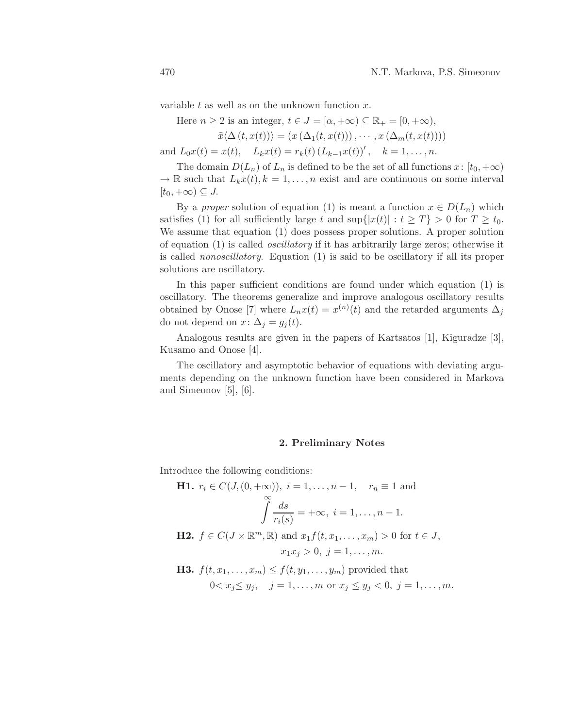variable  $t$  as well as on the unknown function  $x$ .

Here  $n \geq 2$  is an integer,  $t \in J = [\alpha, +\infty) \subseteq \mathbb{R}_+ = [0, +\infty)$ ,

$$
\tilde{x}\langle\Delta(t,x(t))\rangle = (x(\Delta_1(t,x(t))),\cdots,x(\Delta_m(t,x(t))))
$$

and  $L_0x(t) = x(t)$ ,  $L_kx(t) = r_k(t) (L_{k-1}x(t))'$ ,  $k = 1,..., n$ .

The domain  $D(L_n)$  of  $L_n$  is defined to be the set of all functions  $x: [t_0, +\infty)$  $\rightarrow \mathbb{R}$  such that  $L_kx(t), k = 1, \ldots, n$  exist and are continuous on some interval  $[t_0, +\infty) \subseteq J$ .

By a proper solution of equation (1) is meant a function  $x \in D(L_n)$  which satisfies (1) for all sufficiently large t and  $\sup\{|x(t)| : t \geq T\} > 0$  for  $T \geq t_0$ . We assume that equation (1) does possess proper solutions. A proper solution of equation (1) is called oscillatory if it has arbitrarily large zeros; otherwise it is called nonoscillatory. Equation (1) is said to be oscillatory if all its proper solutions are oscillatory.

In this paper sufficient conditions are found under which equation (1) is oscillatory. The theorems generalize and improve analogous oscillatory results obtained by Onose [7] where  $L_n x(t) = x^{(n)}(t)$  and the retarded arguments  $\Delta_j$ do not depend on  $x: \Delta_j = g_j(t)$ .

Analogous results are given in the papers of Kartsatos [1], Kiguradze [3], Kusamo and Onose [4].

The oscillatory and asymptotic behavior of equations with deviating arguments depending on the unknown function have been considered in Markova and Simeonov [5], [6].

#### 2. Preliminary Notes

Introduce the following conditions:

\n- **H1.** 
$$
r_i \in C(J, (0, +\infty)), \ i = 1, \ldots, n-1, \quad r_n \equiv 1 \text{ and}
$$
\n
$$
\int_{r_i(s)}^{\infty} \frac{ds}{r_i(s)} = +\infty, \ i = 1, \ldots, n-1.
$$
\n
\n- **H2.**  $f \in C(J \times \mathbb{R}^m, \mathbb{R})$  and  $x_1 f(t, x_1, \ldots, x_m) > 0$  for  $t \in J$ ,  $x_1 x_j > 0, \ j = 1, \ldots, m.$ \n
\n- **H3.**  $f(t, x_1, \ldots, x_m) \leq f(t, y_1, \ldots, y_m)$  provided that  $0 < x_j \leq y_j, \quad j = 1, \ldots, m \text{ or } x_j \leq y_j < 0, \ j = 1, \ldots, m.$ \n
\n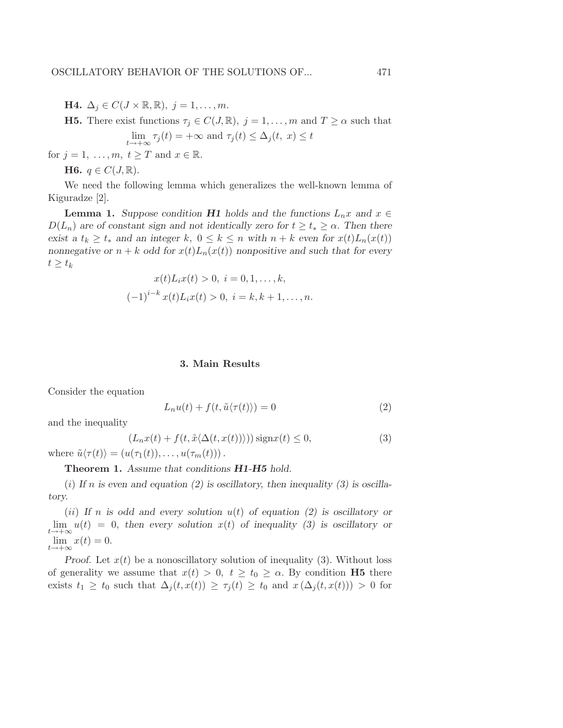**H4.**  $\Delta_j \in C(J \times \mathbb{R}, \mathbb{R}), j = 1, \ldots, m$ .

**H5.** There exist functions  $\tau_j \in C(J, \mathbb{R})$ ,  $j = 1, ..., m$  and  $T \ge \alpha$  such that

$$
\lim_{t \to +\infty} \tau_j(t) = +\infty \text{ and } \tau_j(t) \le \Delta_j(t, x) \le t
$$

for  $j = 1, \ldots, m, t \geq T$  and  $x \in \mathbb{R}$ .

**H6.**  $q \in C(J, \mathbb{R})$ .

We need the following lemma which generalizes the well-known lemma of Kiguradze [2].

**Lemma 1.** Suppose condition **H1** holds and the functions  $L_n x$  and  $x \in$  $D(L_n)$  are of constant sign and not identically zero for  $t \geq t_* \geq \alpha$ . Then there exist a  $t_k \geq t_*$  and an integer k,  $0 \leq k \leq n$  with  $n + k$  even for  $x(t)L_n(x(t))$ nonnegative or  $n + k$  odd for  $x(t)L_n(x(t))$  nonpositive and such that for every  $t \geq t_k$ 

$$
x(t)L_i x(t) > 0, \ i = 0, 1, \dots, k,
$$

$$
(-1)^{i-k} x(t)L_i x(t) > 0, \ i = k, k+1, \dots, n.
$$

## 3. Main Results

Consider the equation

$$
L_n u(t) + f(t, \tilde{u}\langle \tau(t) \rangle) = 0 \tag{2}
$$

and the inequality

$$
(L_n x(t) + f(t, \tilde{x} \langle \Delta(t, x(t)) \rangle)) \operatorname{sign} x(t) \le 0,
$$
  
\n
$$
\tilde{u} \langle \tau(t) \rangle = (u(\tau, (t))) \qquad u(\tau, (t)))
$$
\n(3)

where  $\tilde{u}\langle \tau(t)\rangle = (u(\tau_1(t)), \ldots, u(\tau_m(t)))$ .

# Theorem 1. Assume that conditions **H1-H5** hold.

(i) If n is even and equation (2) is oscillatory, then inequality (3) is oscillatory.

(ii) If n is odd and every solution  $u(t)$  of equation (2) is oscillatory or  $\lim_{t\to+\infty}u(t) = 0$ , then every solution  $x(t)$  of inequality (3) is oscillatory or  $\lim_{t \to +\infty} x(t) = 0.$ 

Proof. Let  $x(t)$  be a nonoscillatory solution of inequality (3). Without loss of generality we assume that  $x(t) > 0$ ,  $t \ge t_0 \ge \alpha$ . By condition **H5** there exists  $t_1 \geq t_0$  such that  $\Delta_j(t, x(t)) \geq \tau_j(t) \geq t_0$  and  $x(\Delta_j(t, x(t))) > 0$  for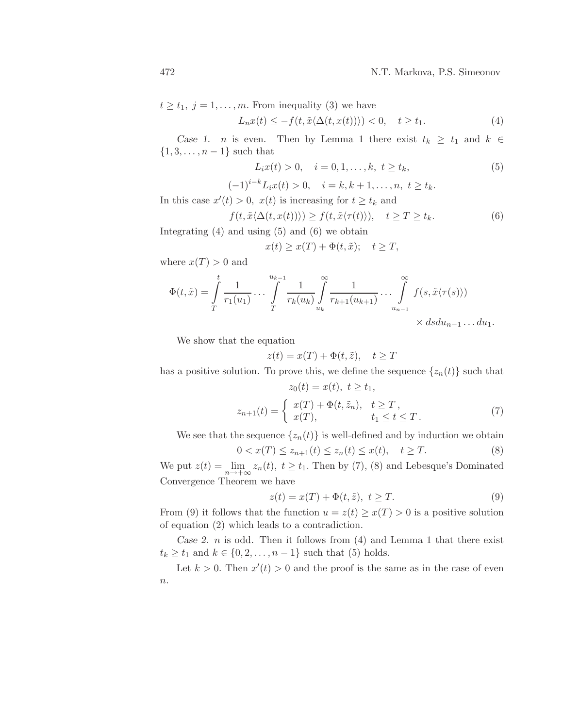$t \geq t_1, j = 1, \ldots, m$ . From inequality (3) we have

$$
L_n x(t) \le -f(t, \tilde{x} \langle \Delta(t, x(t)) \rangle) < 0, \quad t \ge t_1. \tag{4}
$$

Case 1. *n* is even. Then by Lemma 1 there exist  $t_k \geq t_1$  and  $k \in$  $\{1, 3, \ldots, n-1\}$  such that

$$
L_i x(t) > 0, \quad i = 0, 1, \dots, k, \ t \ge t_k,
$$
\n(5)

$$
(-1)^{i-k}L_ix(t) > 0, \quad i = k, k+1, \ldots, n, \ t \ge t_k.
$$

In this case  $x'(t) > 0$ ,  $x(t)$  is increasing for  $t \geq t_k$  and

$$
f(t, \tilde{x} \langle \Delta(t, x(t)) \rangle) \ge f(t, \tilde{x} \langle \tau(t) \rangle), \quad t \ge T \ge t_k. \tag{6}
$$

Integrating (4) and using (5) and (6) we obtain

$$
x(t) \ge x(T) + \Phi(t, \tilde{x}); \quad t \ge T,
$$

where  $x(T) > 0$  and

$$
\Phi(t, \tilde{x}) = \int_{T}^{t} \frac{1}{r_1(u_1)} \dots \int_{T}^{u_{k-1}} \frac{1}{r_k(u_k)} \int_{u_k}^{\infty} \frac{1}{r_{k+1}(u_{k+1})} \dots \int_{u_{n-1}}^{\infty} f(s, \tilde{x} \langle \tau(s) \rangle) \times ds du_{n-1} \dots du_1.
$$

We show that the equation

$$
z(t) = x(T) + \Phi(t, \tilde{z}), \quad t \ge T
$$

has a positive solution. To prove this, we define the sequence  $\{z_n(t)\}\$  such that  $z_0(t) = x(t), t > t_1,$ 

$$
z_{n+1}(t) = \begin{cases} x(T) + \Phi(t, \tilde{z}_n), & t \ge T, \\ x(T), & t_1 \le t \le T. \end{cases}
$$
 (7)

We see that the sequence  $\{z_n(t)\}\$ is well-defined and by induction we obtain

$$
0 < x(T) \le z_{n+1}(t) \le z_n(t) \le x(t), \quad t \ge T. \tag{8}
$$

We put  $z(t) = \lim_{n \to +\infty} z_n(t)$ ,  $t \ge t_1$ . Then by (7), (8) and Lebesque's Dominated Convergence Theorem we have

$$
z(t) = x(T) + \Phi(t, \tilde{z}), \ t \ge T. \tag{9}
$$

From (9) it follows that the function  $u = z(t) \geq x(T) > 0$  is a positive solution of equation (2) which leads to a contradiction.

Case 2. *n* is odd. Then it follows from  $(4)$  and Lemma 1 that there exist  $t_k \ge t_1$  and  $k \in \{0, 2, ..., n-1\}$  such that (5) holds.

Let  $k > 0$ . Then  $x'(t) > 0$  and the proof is the same as in the case of even  $\boldsymbol{n}.$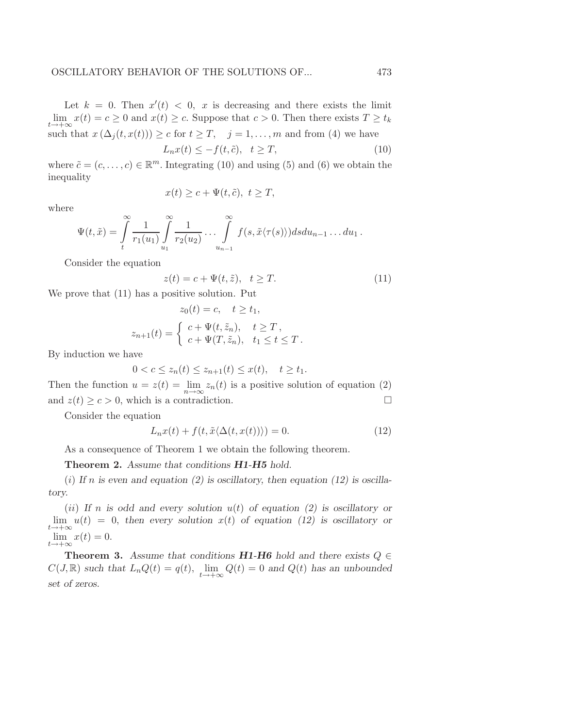Let  $k = 0$ . Then  $x'(t) < 0$ , x is decreasing and there exists the limit  $\lim_{t \to +\infty} x(t) = c \ge 0$  and  $x(t) \ge c$ . Suppose that  $c > 0$ . Then there exists  $T \ge t_k$ such that  $x(\Delta_i(t, x(t))) \geq c$  for  $t \geq T$ ,  $j = 1, ..., m$  and from (4) we have  $L_n x(t) \leq -f(t, \tilde{c}), \quad t \geq T,$  (10)

where  $\tilde{c} = (c, \ldots, c) \in \mathbb{R}^m$ . Integrating (10) and using (5) and (6) we obtain the inequality

$$
x(t) \ge c + \Psi(t, \tilde{c}), \ t \ge T,
$$

where

$$
\Psi(t,\tilde{x}) = \int\limits_t^\infty \frac{1}{r_1(u_1)} \int\limits_{u_1}^\infty \frac{1}{r_2(u_2)} \ldots \int\limits_{u_{n-1}}^\infty f(s,\tilde{x}\langle\tau(s)\rangle) ds du_{n-1} \ldots du_1.
$$

Consider the equation

$$
z(t) = c + \Psi(t, \tilde{z}), \quad t \ge T. \tag{11}
$$

We prove that (11) has a positive solution. Put

$$
z_0(t) = c, \quad t \ge t_1,
$$
  

$$
z_{n+1}(t) = \begin{cases} c + \Psi(t, \tilde{z}_n), & t \ge T, \\ c + \Psi(T, \tilde{z}_n), & t_1 \le t \le T. \end{cases}
$$

By induction we have

$$
0 < c \le z_n(t) \le z_{n+1}(t) \le x(t), \quad t \ge t_1.
$$

Then the function  $u = z(t) = \lim_{n \to \infty} z_n(t)$  is a positive solution of equation (2) and  $z(t) \ge c > 0$ , which is a contradiction.

Consider the equation

$$
L_n x(t) + f(t, \tilde{x} \langle \Delta(t, x(t)) \rangle) = 0.
$$
\n(12)

As a consequence of Theorem 1 we obtain the following theorem.

Theorem 2. Assume that conditions **H1-H5** hold.

(i) If n is even and equation (2) is oscillatory, then equation (12) is oscillatory.

(ii) If n is odd and every solution  $u(t)$  of equation (2) is oscillatory or  $\lim_{t\to+\infty}u(t) = 0$ , then every solution  $x(t)$  of equation (12) is oscillatory or  $\lim_{t \to +\infty} x(t) = 0.$ 

**Theorem 3.** Assume that conditions **H1-H6** hold and there exists  $Q \in$  $C(J,\mathbb{R})$  such that  $L_nQ(t) = q(t)$ ,  $\lim_{t \to +\infty} Q(t) = 0$  and  $Q(t)$  has an unbounded set of zeros.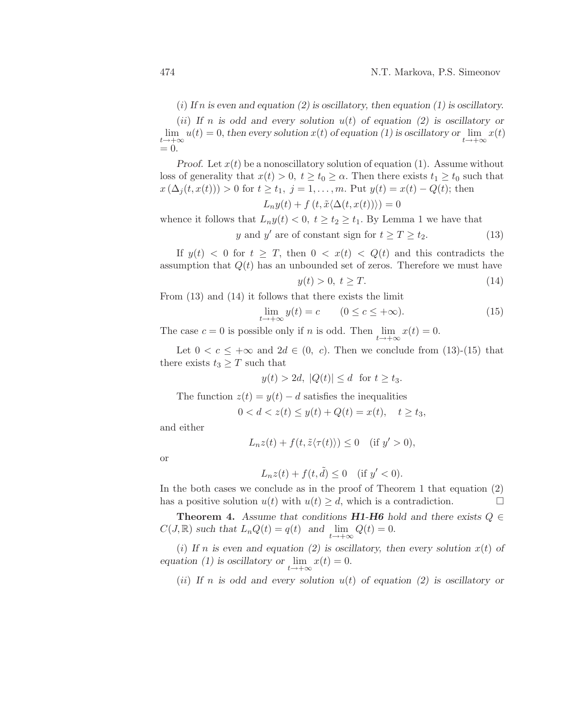(i) If n is even and equation (2) is oscillatory, then equation (1) is oscillatory.

(ii) If n is odd and every solution  $u(t)$  of equation (2) is oscillatory or  $\lim_{t\to+\infty}u(t)=0$ , then every solution  $x(t)$  of equation (1) is oscillatory or  $\lim_{t\to+\infty}x(t)$  $= 0.$ 

Proof. Let  $x(t)$  be a nonoscillatory solution of equation (1). Assume without loss of generality that  $x(t) > 0$ ,  $t \ge t_0 \ge \alpha$ . Then there exists  $t_1 \ge t_0$  such that  $x(\Delta_j(t, x(t))) > 0$  for  $t \ge t_1, j = 1, ..., m$ . Put  $y(t) = x(t) - Q(t)$ ; then

$$
L_n y(t) + f(t, \tilde{x} \langle \Delta(t, x(t)) \rangle) = 0
$$

whence it follows that  $L_n y(t) < 0, t \ge t_2 \ge t_1$ . By Lemma 1 we have that

$$
y \text{ and } y' \text{ are of constant sign for } t \ge T \ge t_2. \tag{13}
$$

If  $y(t) < 0$  for  $t \geq T$ , then  $0 < x(t) < Q(t)$  and this contradicts the assumption that  $Q(t)$  has an unbounded set of zeros. Therefore we must have

$$
y(t) > 0, \ t \geq T. \tag{14}
$$

From (13) and (14) it follows that there exists the limit

$$
\lim_{t \to +\infty} y(t) = c \qquad (0 \le c \le +\infty). \tag{15}
$$

The case  $c = 0$  is possible only if n is odd. Then  $\lim_{t \to +\infty} x(t) = 0$ .

Let  $0 < c \leq +\infty$  and  $2d \in (0, c)$ . Then we conclude from  $(13)-(15)$  that there exists  $t_3 \geq T$  such that

$$
y(t) > 2d, \ |Q(t)| \le d \ \text{for } t \ge t_3.
$$

The function  $z(t) = y(t) - d$  satisfies the inequalities

$$
0 < d < z(t) \le y(t) + Q(t) = x(t), \quad t \ge t_3,
$$

and either

$$
L_n z(t) + f(t, \tilde{z} \langle \tau(t) \rangle) \le 0 \quad (\text{if } y' > 0),
$$

or

$$
L_n z(t) + f(t, \tilde{d}) \le 0 \quad (\text{if } y' < 0).
$$

In the both cases we conclude as in the proof of Theorem 1 that equation (2) has a positive solution  $u(t)$  with  $u(t) \geq d$ , which is a contradiction.

**Theorem 4.** Assume that conditions **H1-H6** hold and there exists  $Q \in$  $C(J, \mathbb{R})$  such that  $L_n Q(t) = q(t)$  and  $\lim_{t \to +\infty} Q(t) = 0$ .

(i) If n is even and equation (2) is oscillatory, then every solution  $x(t)$  of equation (1) is oscillatory or  $\lim_{t \to +\infty} x(t) = 0$ .

(ii) If n is odd and every solution  $u(t)$  of equation (2) is oscillatory or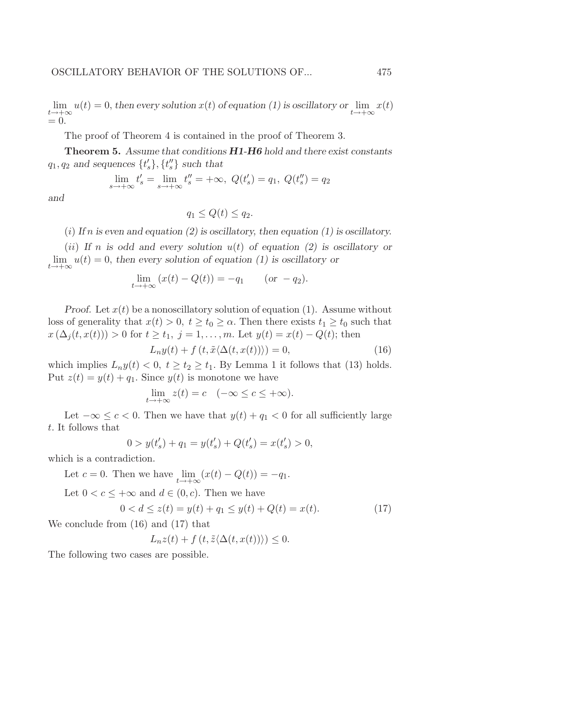$\lim_{t\to+\infty}u(t)=0$ , then every solution  $x(t)$  of equation (1) is oscillatory or  $\lim_{t\to+\infty}x(t)$  $= 0.$ 

The proof of Theorem 4 is contained in the proof of Theorem 3.

Theorem 5. Assume that conditions  $H1-H6$  hold and there exist constants  $q_1, q_2$  and sequences  $\{t'_s\}, \{t''_s\}$  such that

$$
\lim_{s \to +\infty} t'_s = \lim_{s \to +\infty} t''_s = +\infty, \ Q(t'_s) = q_1, \ Q(t''_s) = q_2
$$

and

$$
q_1 \le Q(t) \le q_2.
$$

(i) If n is even and equation (2) is oscillatory, then equation (1) is oscillatory.

(ii) If n is odd and every solution  $u(t)$  of equation (2) is oscillatory or  $\lim_{t \to +\infty} u(t) = 0$ , then every solution of equation (1) is oscillatory or

$$
\lim_{t \to +\infty} (x(t) - Q(t)) = -q_1 \qquad (or \ -q_2).
$$

Proof. Let  $x(t)$  be a nonoscillatory solution of equation (1). Assume without loss of generality that  $x(t) > 0$ ,  $t \ge t_0 \ge \alpha$ . Then there exists  $t_1 \ge t_0$  such that  $x(\Delta_i(t, x(t))) > 0$  for  $t \ge t_1, j = 1, ..., m$ . Let  $y(t) = x(t) - Q(t)$ ; then

$$
L_n y(t) + f(t, \tilde{x} \langle \Delta(t, x(t)) \rangle) = 0,
$$
\n(16)

which implies  $L_n y(t) < 0, t \ge t_2 \ge t_1$ . By Lemma 1 it follows that (13) holds. Put  $z(t) = y(t) + q_1$ . Since  $y(t)$  is monotone we have

$$
\lim_{t \to +\infty} z(t) = c \quad (-\infty \le c \le +\infty).
$$

Let  $-\infty \leq c < 0$ . Then we have that  $y(t) + q_1 < 0$  for all sufficiently large t. It follows that

$$
0 > y(t'_{s}) + q_{1} = y(t'_{s}) + Q(t'_{s}) = x(t'_{s}) > 0,
$$

which is a contradiction.

Let  $c = 0$ . Then we have  $\lim_{t \to +\infty} (x(t) - Q(t)) = -q_1$ .

Let  $0 < c \leq +\infty$  and  $d \in (0, c)$ . Then we have

$$
0 < d \le z(t) = y(t) + q_1 \le y(t) + Q(t) = x(t). \tag{17}
$$

We conclude from (16) and (17) that

$$
L_n z(t) + f(t, \tilde{z} \langle \Delta(t, x(t)) \rangle) \leq 0.
$$

The following two cases are possible.